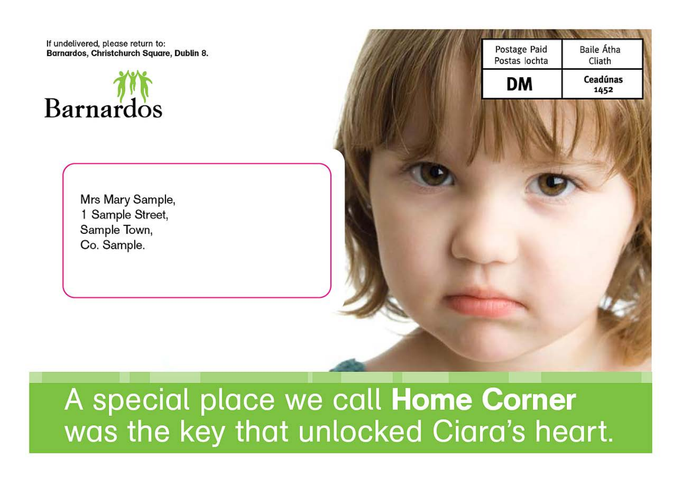If undelivered, please return to: Barnardos, Christchurch Square, Dublin 8.



Mrs Mary Sample, 1 Sample Street, Sample Town, Co. Sample.

# A special place we call Home Corner was the key that unlocked Ciara's heart.

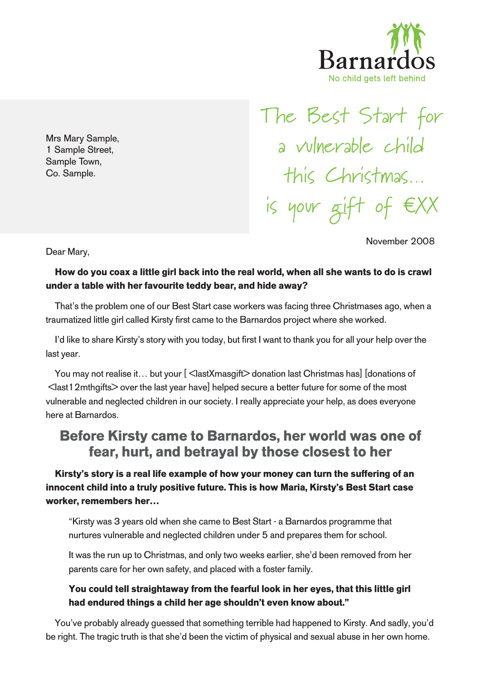

November 2008

Mrs Mary Sample, 1 Sample Street, Sample Town, Co. Sample.

The Best Start for a vulnerable child this Christmas… is your gift of eXX

Dear Mary,

#### **How do you coax a little girl back into the real world, when all she wants to do is crawl under a table with her favourite teddy bear, and hide away?**

That's the problem one of our Best Start case workers was facing three Christmases ago, when a traumatized little girl called Kirsty first came to the Barnardos project where she worked.

I'd like to share Kirsty's story with you today, but first I want to thank you for all your help over the last year.

You may not realise it... but your [ **€** last X masgift > donation last Christmas has ] [donations of €<last12mthgifts> over the last year have] helped secure a better future for some of the most vulnerable and neglected children in our society. I really appreciate your help, as does everyone here at Barnardos.

## **Before Kirsty came to Barnardos, her world was one of fear, hurt, and betrayal by those closest to her**

**Kirsty's story is a real life example of how your money can turn the suffering of an innocent child into a truly positive future. This is how Maria, Kirsty's Best Start case worker, remembers her…**

"Kirsty was 3 years old when she came to Best Start - a Barnardos programme that nurtures vulnerable and neglected children under 5 and prepares them for school.

It was the run up to Christmas, and only two weeks earlier, she'd been removed from her parents care for her own safety, and placed with a foster family.

#### **You could tell straightaway from the fearful look in her eyes, that this little girl had endured things a child her age shouldn't even know about."**

You've probably already guessed that something terrible had happened to Kirsty. And sadly, you'd be right. The tragic truth is that she'd been the victim of physical and sexual abuse in her own home.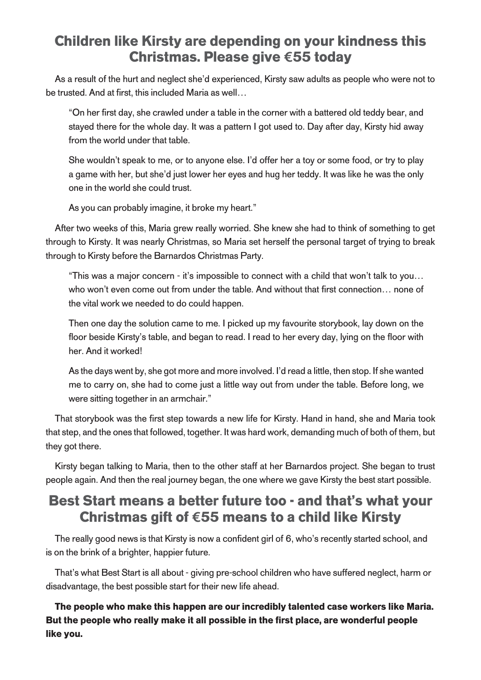## **Children like Kirsty are depending on your kindness this Christmas. Please give e55 today**

As a result of the hurt and neglect she'd experienced, Kirsty saw adults as people who were not to be trusted. And at first, this included Maria as well…

"On her first day, she crawled under a table in the corner with a battered old teddy bear, and stayed there for the whole day. It was a pattern I got used to. Day after day, Kirsty hid away from the world under that table.

She wouldn't speak to me, or to anyone else. I'd offer her a toy or some food, or try to play a game with her, but she'd just lower her eyes and hug her teddy. It was like he was the only one in the world she could trust.

As you can probably imagine, it broke my heart."

After two weeks of this, Maria grew really worried. She knew she had to think of something to get through to Kirsty. It was nearly Christmas, so Maria set herself the personal target of trying to break through to Kirsty before the Barnardos Christmas Party.

"This was a major concern - it's impossible to connect with a child that won't talk to you… who won't even come out from under the table. And without that first connection… none of the vital work we needed to do could happen.

Then one day the solution came to me. I picked up my favourite storybook, lay down on the floor beside Kirsty's table, and began to read. I read to her every day, lying on the floor with her. And it worked!

As the days went by, she got more and more involved. I'd read a little, then stop. If she wanted me to carry on, she had to come just a little way out from under the table. Before long, we were sitting together in an armchair."

That storybook was the first step towards a new life for Kirsty. Hand in hand, she and Maria took that step, and the ones that followed, together. It was hard work, demanding much of both of them, but they got there.

Kirsty began talking to Maria, then to the other staff at her Barnardos project. She began to trust people again. And then the real journey began, the one where we gave Kirsty the best start possible.

# **Best Start means a better future too - and that's what your Christmas gift of e55 means to a child like Kirsty**

The really good news is that Kirsty is now a confident girl of 6, who's recently started school, and is on the brink of a brighter, happier future.

That's what Best Start is all about - giving pre-school children who have suffered neglect, harm or disadvantage, the best possible start for their new life ahead.

**The people who make this happen are our incredibly talented case workers like Maria. But the people who really make it all possible in the first place, are wonderful people like you.**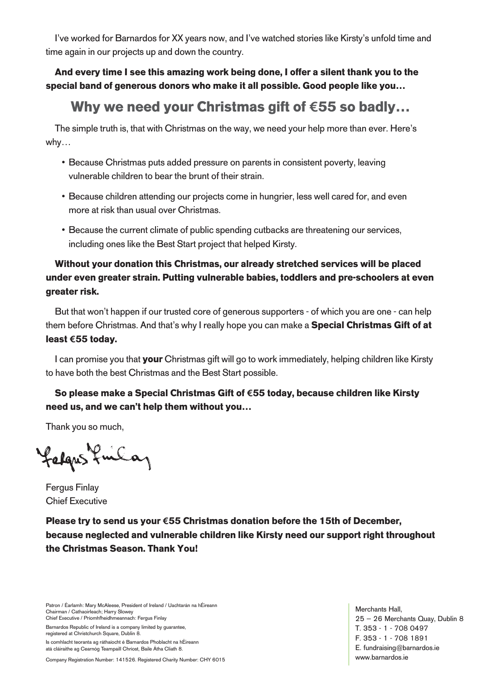I've worked for Barnardos for XX years now, and I've watched stories like Kirsty's unfold time and time again in our projects up and down the country.

**And every time I see this amazing work being done, I offer a silent thank you to the special band of generous donors who make it all possible. Good people like you…**

# **Why we need your Christmas gift of e55 so badly…**

The simple truth is, that with Christmas on the way, we need your help more than ever. Here's why…

- Because Christmas puts added pressure on parents in consistent poverty, leaving vulnerable children to bear the brunt of their strain.
- Because children attending our projects come in hungrier, less well cared for, and even more at risk than usual over Christmas.
- Because the current climate of public spending cutbacks are threatening our services, including ones like the Best Start project that helped Kirsty.

#### **Without your donation this Christmas, our already stretched services will be placed under even greater strain. Putting vulnerable babies, toddlers and pre-schoolers at even greater risk.**

But that won't happen if our trusted core of generous supporters - of which you are one - can help them before Christmas. And that's why I really hope you can make a **Special Christmas Gift of at least e55 today.**

I can promise you that **your** Christmas gift will go to work immediately, helping children like Kirsty to have both the best Christmas and the Best Start possible.

#### **So please make a Special Christmas Gift of e55 today, because children like Kirsty need us, and we can't help them without you…**

Thank you so much,

falgus funca,

Fergus Finlay Chief Executive

**Please try to send us your e55 Christmas donation before the 15th of December, because neglected and vulnerable children like Kirsty need our support right throughout the Christmas Season. Thank You!**

Patron / Éarlamh: Mary McAleese, President of Ireland / Uachtarán na hÉireann Chairman / Cathaoirleach; Harry Slowey Chief Executive / Príomhfheidhmeannach: Fergus Finlay

Barnardos Republic of Ireland is a company limited by guarantee, registered at Christchurch Square, Dublin 8.

Is comhlacht teoranta ag ráthaíocht é Barnardos Phoblacht na hÉireann atá cláiraithe ag Cearnóg Teampaill Chríost, Baile Átha Cliath 8.

Company Registration Number: 141526. Registered Charity Number: CHY 6015